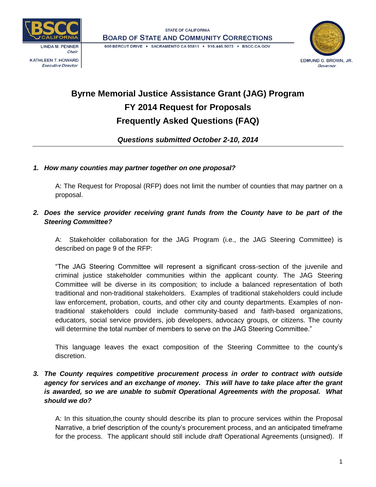

**Executive Director** 





# **Byrne Memorial Justice Assistance Grant (JAG) Program FY 2014 Request for Proposals Frequently Asked Questions (FAQ)**

*Questions submitted October 2-10, 2014*

# *1. How many counties may partner together on one proposal?*

A: The Request for Proposal (RFP) does not limit the number of counties that may partner on a proposal.

# *2. Does the service provider receiving grant funds from the County have to be part of the Steering Committee?*

A: Stakeholder collaboration for the JAG Program (i.e., the JAG Steering Committee) is described on page 9 of the RFP:

"The JAG Steering Committee will represent a significant cross-section of the juvenile and criminal justice stakeholder communities within the applicant county. The JAG Steering Committee will be diverse in its composition; to include a balanced representation of both traditional and non-traditional stakeholders. Examples of traditional stakeholders could include law enforcement, probation, courts, and other city and county departments. Examples of nontraditional stakeholders could include community-based and faith-based organizations, educators, social service providers, job developers, advocacy groups, or citizens. The county will determine the total number of members to serve on the JAG Steering Committee."

This language leaves the exact composition of the Steering Committee to the county's discretion.

# *3. The County requires competitive procurement process in order to contract with outside agency for services and an exchange of money. This will have to take place after the grant is awarded, so we are unable to submit Operational Agreements with the proposal. What should we do?*

A: In this situation,the county should describe its plan to procure services within the Proposal Narrative, a brief description of the county's procurement process, and an anticipated timeframe for the process. The applicant should still include *draft* Operational Agreements (unsigned). If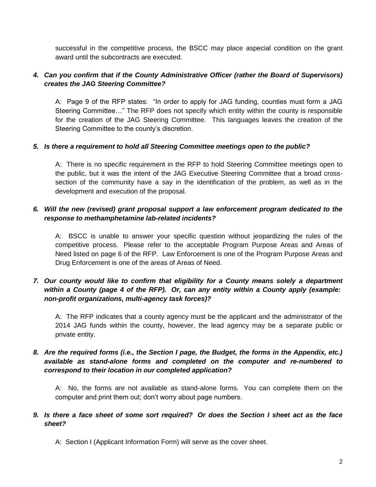successful in the competitive process, the BSCC may place aspecial condition on the grant award until the subcontracts are executed.

#### *4. Can you confirm that if the County Administrative Officer (rather the Board of Supervisors) creates the JAG Steering Committee?*

A: Page 9 of the RFP states: "In order to apply for JAG funding, counties must form a JAG Steering Committee…" The RFP does not specify which entity within the county is responsible for the creation of the JAG Steering Committee. This languages leaves the creation of the Steering Committee to the county's discretion.

#### *5. Is there a requirement to hold all Steering Committee meetings open to the public?*

A: There is no specific requirement in the RFP to hold Steering Committee meetings open to the public, but it was the intent of the JAG Executive Steering Committee that a broad crosssection of the community have a say in the identification of the problem, as well as in the development and execution of the proposal.

## *6. Will the new (revised) grant proposal support a law enforcement program dedicated to the response to methamphetamine lab-related incidents?*

A: BSCC is unable to answer your specific question without jeopardizing the rules of the competitive process. Please refer to the acceptable Program Purpose Areas and Areas of Need listed on page 6 of the RFP. Law Enforcement is one of the Program Purpose Areas and Drug Enforcement is one of the areas of Areas of Need.

# *7. Our county would like to confirm that eligibility for a County means solely a department within a County (page 4 of the RFP). Or, can any entity within a County apply (example: non-profit organizations, multi-agency task forces)?*

A: The RFP indicates that a county agency must be the applicant and the administrator of the 2014 JAG funds within the county, however, the lead agency may be a separate public or private entity.

## *8. Are the required forms (i.e., the Section I page, the Budget, the forms in the Appendix, etc.) available as stand-alone forms and completed on the computer and re-numbered to correspond to their location in our completed application?*

A: No, the forms are not available as stand-alone forms. You can complete them on the computer and print them out; don't worry about page numbers.

#### *9. Is there a face sheet of some sort required? Or does the Section I sheet act as the face sheet?*

A: Section I (Applicant Information Form) will serve as the cover sheet.